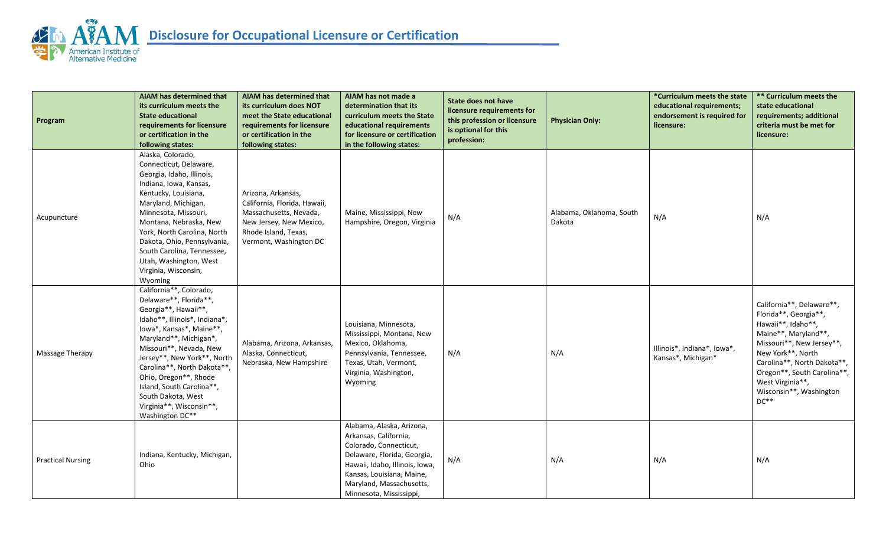

| Program                  | AIAM has determined that<br>its curriculum meets the<br><b>State educational</b><br>requirements for licensure<br>or certification in the<br>following states:                                                                                                                                                                                                                       | AIAM has determined that<br>its curriculum does NOT<br>meet the State educational<br>requirements for licensure<br>or certification in the<br>following states: | AIAM has not made a<br>determination that its<br>curriculum meets the State<br>educational requirements<br>for licensure or certification<br>in the following states:                                                             | <b>State does not have</b><br>licensure requirements for<br>this profession or licensure<br>is optional for this<br>profession: | <b>Physician Only:</b>             | *Curriculum meets the state<br>educational requirements;<br>endorsement is required for<br>licensure: | ** Curriculum meets the<br>state educational<br>requirements; additional<br>criteria must be met for<br>licensure:                                                                                                                                                        |
|--------------------------|--------------------------------------------------------------------------------------------------------------------------------------------------------------------------------------------------------------------------------------------------------------------------------------------------------------------------------------------------------------------------------------|-----------------------------------------------------------------------------------------------------------------------------------------------------------------|-----------------------------------------------------------------------------------------------------------------------------------------------------------------------------------------------------------------------------------|---------------------------------------------------------------------------------------------------------------------------------|------------------------------------|-------------------------------------------------------------------------------------------------------|---------------------------------------------------------------------------------------------------------------------------------------------------------------------------------------------------------------------------------------------------------------------------|
| Acupuncture              | Alaska, Colorado,<br>Connecticut, Delaware,<br>Georgia, Idaho, Illinois,<br>Indiana, Iowa, Kansas,<br>Kentucky, Louisiana,<br>Maryland, Michigan,<br>Minnesota, Missouri,<br>Montana, Nebraska, New<br>York, North Carolina, North<br>Dakota, Ohio, Pennsylvania,<br>South Carolina, Tennessee,<br>Utah, Washington, West<br>Virginia, Wisconsin,<br>Wyoming                         | Arizona, Arkansas,<br>California, Florida, Hawaii,<br>Massachusetts, Nevada,<br>New Jersey, New Mexico,<br>Rhode Island, Texas,<br>Vermont, Washington DC       | Maine, Mississippi, New<br>Hampshire, Oregon, Virginia                                                                                                                                                                            | N/A                                                                                                                             | Alabama, Oklahoma, South<br>Dakota | N/A                                                                                                   | N/A                                                                                                                                                                                                                                                                       |
| Massage Therapy          | California**, Colorado,<br>Delaware**, Florida**,<br>Georgia**, Hawaii**,<br>Idaho**, Illinois*, Indiana*,<br>lowa*, Kansas*, Maine**,<br>Maryland**, Michigan*,<br>Missouri**, Nevada, New<br>Jersey**, New York**, North<br>Carolina**, North Dakota**,<br>Ohio, Oregon**, Rhode<br>Island, South Carolina**,<br>South Dakota, West<br>Virginia**, Wisconsin**,<br>Washington DC** | Alabama, Arizona, Arkansas,<br>Alaska, Connecticut,<br>Nebraska, New Hampshire                                                                                  | Louisiana, Minnesota,<br>Mississippi, Montana, New<br>Mexico, Oklahoma,<br>Pennsylvania, Tennessee,<br>Texas, Utah, Vermont,<br>Virginia, Washington,<br>Wyoming                                                                  | N/A                                                                                                                             | N/A                                | Illinois*, Indiana*, Iowa*,<br>Kansas*, Michigan*                                                     | California**, Delaware**,<br>Florida**, Georgia**,<br>Hawaii**, Idaho**,<br>Maine**, Maryland**,<br>Missouri**, New Jersey**,<br>New York**, North<br>Carolina**, North Dakota**,<br>Oregon**, South Carolina**,<br>West Virginia**,<br>Wisconsin**, Washington<br>$DC**$ |
| <b>Practical Nursing</b> | Indiana, Kentucky, Michigan,<br>Ohio                                                                                                                                                                                                                                                                                                                                                 |                                                                                                                                                                 | Alabama, Alaska, Arizona,<br>Arkansas, California,<br>Colorado, Connecticut,<br>Delaware, Florida, Georgia,<br>Hawaii, Idaho, Illinois, Iowa,<br>Kansas, Louisiana, Maine,<br>Maryland, Massachusetts,<br>Minnesota, Mississippi, | N/A                                                                                                                             | N/A                                | N/A                                                                                                   | N/A                                                                                                                                                                                                                                                                       |